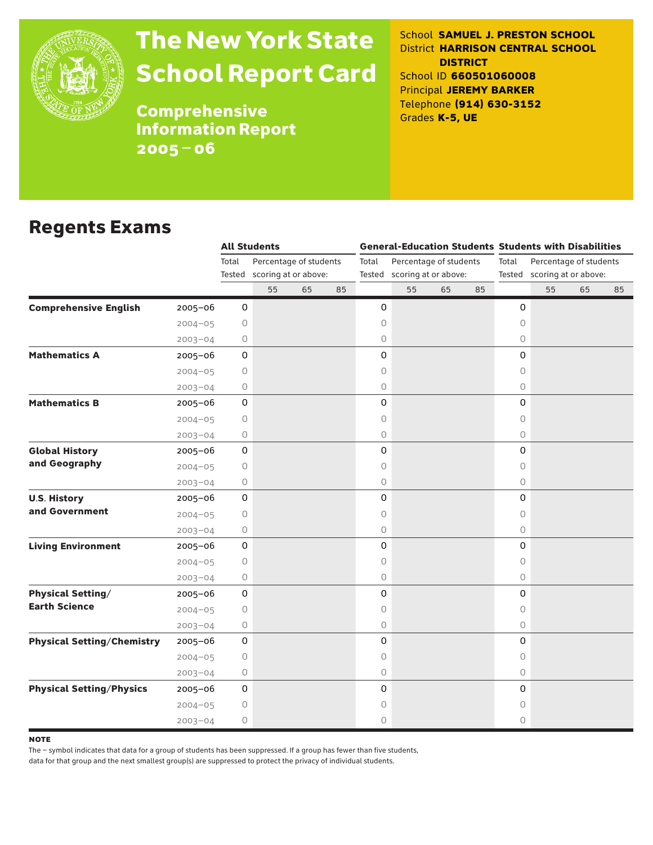

# The New York State School Report Card

School **SAMUEL J. PRESTON SCHOOL** District **HARRISON CENTRAL SCHOOL DISTRICT** School ID **660501060008** Principal **JEREMY BARKER** Telephone **(914) 630-3152** Grades **K-5, UE**

**Comprehensive** Information Report 2005–06

### Regents Exams

|                                   |             | <b>All Students</b> |                        |    | <b>General-Education Students Students with Disabilities</b> |                                 |                             |    |                             |                                 |    |    |    |  |
|-----------------------------------|-------------|---------------------|------------------------|----|--------------------------------------------------------------|---------------------------------|-----------------------------|----|-----------------------------|---------------------------------|----|----|----|--|
|                                   |             | Total               | Percentage of students |    |                                                              | Percentage of students<br>Total |                             |    |                             | Total<br>Percentage of students |    |    |    |  |
|                                   |             | Tested              | scoring at or above:   |    |                                                              |                                 | Tested scoring at or above: |    | Tested scoring at or above: |                                 |    |    |    |  |
|                                   |             |                     | 55                     | 65 | 85                                                           |                                 | 55                          | 65 | 85                          |                                 | 55 | 65 | 85 |  |
| <b>Comprehensive English</b>      | $2005 - 06$ | 0                   |                        |    |                                                              | 0                               |                             |    |                             | 0                               |    |    |    |  |
|                                   | $2004 - 05$ | $\circ$             |                        |    |                                                              | 0                               |                             |    |                             | $\circ$                         |    |    |    |  |
|                                   | $2003 - 04$ | 0                   |                        |    |                                                              | 0                               |                             |    |                             | $\circ$                         |    |    |    |  |
| <b>Mathematics A</b>              | 2005-06     | 0                   |                        |    |                                                              | 0                               |                             |    |                             | 0                               |    |    |    |  |
|                                   | $2004 - 05$ | 0                   |                        |    |                                                              | 0                               |                             |    |                             | $\circ$                         |    |    |    |  |
|                                   | $2003 - 04$ | 0                   |                        |    |                                                              | $\circlearrowright$             |                             |    |                             | 0                               |    |    |    |  |
| <b>Mathematics B</b>              | $2005 - 06$ | 0                   |                        |    |                                                              | 0                               |                             |    |                             | 0                               |    |    |    |  |
|                                   | $2004 - 05$ | 0                   |                        |    |                                                              | 0                               |                             |    |                             | 0                               |    |    |    |  |
|                                   | $2003 - 04$ | 0                   |                        |    |                                                              | 0                               |                             |    |                             | $\circ$                         |    |    |    |  |
| <b>Global History</b>             | 2005-06     | 0                   |                        |    |                                                              | 0                               |                             |    |                             | 0                               |    |    |    |  |
| and Geography                     | $2004 - 05$ | $\circ$             |                        |    |                                                              | 0                               |                             |    |                             | $\circ$                         |    |    |    |  |
|                                   | $2003 - 04$ | 0                   |                        |    |                                                              | 0                               |                             |    |                             | $\circ$                         |    |    |    |  |
| <b>U.S. History</b>               | 2005-06     | $\mathsf{O}\xspace$ |                        |    |                                                              | 0                               |                             |    |                             | 0                               |    |    |    |  |
| and Government                    | $2004 - 05$ | 0                   |                        |    |                                                              | 0                               |                             |    |                             | $\circ$                         |    |    |    |  |
|                                   | $2003 - 04$ | 0                   |                        |    |                                                              | $\circlearrowright$             |                             |    |                             | $\circ$                         |    |    |    |  |
| <b>Living Environment</b>         | $2005 - 06$ | 0                   |                        |    |                                                              | 0                               |                             |    |                             | 0                               |    |    |    |  |
|                                   | $2004 - 05$ | 0                   |                        |    |                                                              | 0                               |                             |    |                             | 0                               |    |    |    |  |
|                                   | $2003 - 04$ | 0                   |                        |    |                                                              | 0                               |                             |    |                             | $\circ$                         |    |    |    |  |
| <b>Physical Setting/</b>          | 2005-06     | 0                   |                        |    |                                                              | 0                               |                             |    |                             | 0                               |    |    |    |  |
| <b>Earth Science</b>              | $2004 - 05$ | 0                   |                        |    |                                                              | 0                               |                             |    |                             | $\circ$                         |    |    |    |  |
|                                   | $2003 - 04$ | 0                   |                        |    |                                                              | 0                               |                             |    |                             | 0                               |    |    |    |  |
| <b>Physical Setting/Chemistry</b> | 2005-06     | $\mathsf{O}\xspace$ |                        |    |                                                              | 0                               |                             |    |                             | 0                               |    |    |    |  |
|                                   | $2004 - 05$ | 0                   |                        |    |                                                              | 0                               |                             |    |                             | $\Omega$                        |    |    |    |  |
|                                   | $2003 - 04$ | 0                   |                        |    |                                                              | $\circlearrowright$             |                             |    |                             | $\bigcirc$                      |    |    |    |  |
| <b>Physical Setting/Physics</b>   | $2005 - 06$ | $\mathbf 0$         |                        |    |                                                              | 0                               |                             |    |                             | 0                               |    |    |    |  |
|                                   | $2004 - 05$ | 0                   |                        |    |                                                              | 0                               |                             |    |                             | 0                               |    |    |    |  |
|                                   | $2003 - 04$ | 0                   |                        |    |                                                              | 0                               |                             |    |                             | $\circ$                         |    |    |    |  |

**NOTE** 

The – symbol indicates that data for a group of students has been suppressed. If a group has fewer than five students,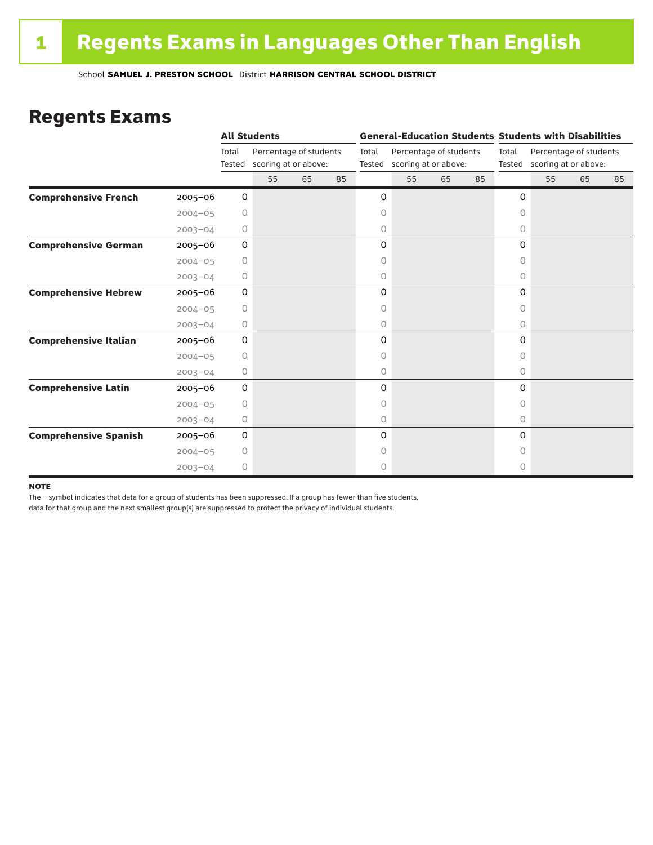### Regents Exams

|                              |             |                 | <b>All Students</b>  |    |                        |   | <b>General-Education Students Students with Disabilities</b> |    |    |          |                                                       |    |    |  |
|------------------------------|-------------|-----------------|----------------------|----|------------------------|---|--------------------------------------------------------------|----|----|----------|-------------------------------------------------------|----|----|--|
|                              |             | Total<br>Tested | scoring at or above: |    | Percentage of students |   | Percentage of students<br>scoring at or above:               |    |    | Total    | Percentage of students<br>Tested scoring at or above: |    |    |  |
|                              |             |                 | 55                   | 65 | 85                     |   | 55                                                           | 65 | 85 |          | 55                                                    | 65 | 85 |  |
| <b>Comprehensive French</b>  | $2005 - 06$ | 0               |                      |    |                        | 0 |                                                              |    |    | 0        |                                                       |    |    |  |
|                              | $2004 - 05$ | 0               |                      |    |                        | 0 |                                                              |    |    | $\circ$  |                                                       |    |    |  |
|                              | $2003 - 04$ | 0               |                      |    |                        | 0 |                                                              |    |    | 0        |                                                       |    |    |  |
| <b>Comprehensive German</b>  | $2005 - 06$ | 0               |                      |    |                        | 0 |                                                              |    |    | 0        |                                                       |    |    |  |
|                              | $2004 - 05$ | 0               |                      |    |                        | 0 |                                                              |    |    | 0        |                                                       |    |    |  |
|                              | $2003 - 04$ | $\circ$         |                      |    |                        | 0 |                                                              |    |    | 0        |                                                       |    |    |  |
| <b>Comprehensive Hebrew</b>  | $2005 - 06$ | 0               |                      |    |                        | 0 |                                                              |    |    | 0        |                                                       |    |    |  |
|                              | $2004 - 05$ | 0               |                      |    |                        | 0 |                                                              |    |    | 0        |                                                       |    |    |  |
|                              | $2003 - 04$ | 0               |                      |    |                        | 0 |                                                              |    |    | $\circ$  |                                                       |    |    |  |
| <b>Comprehensive Italian</b> | $2005 - 06$ | 0               |                      |    |                        | 0 |                                                              |    |    | 0        |                                                       |    |    |  |
|                              | $2004 - 05$ | $\circ$         |                      |    |                        | 0 |                                                              |    |    | $\Omega$ |                                                       |    |    |  |
|                              | $2003 - 04$ | 0               |                      |    |                        | 0 |                                                              |    |    | 0        |                                                       |    |    |  |
| <b>Comprehensive Latin</b>   | $2005 - 06$ | 0               |                      |    |                        | 0 |                                                              |    |    | 0        |                                                       |    |    |  |
|                              | $2004 - 05$ | $\circ$         |                      |    |                        | 0 |                                                              |    |    | 0        |                                                       |    |    |  |
|                              | $2003 - 04$ | 0               |                      |    |                        | 0 |                                                              |    |    | $\circ$  |                                                       |    |    |  |
| <b>Comprehensive Spanish</b> | $2005 - 06$ | 0               |                      |    |                        | 0 |                                                              |    |    | $\Omega$ |                                                       |    |    |  |
|                              | $2004 - 05$ | 0               |                      |    |                        | 0 |                                                              |    |    | Ω        |                                                       |    |    |  |
|                              | $2003 - 04$ | $\circ$         |                      |    |                        | 0 |                                                              |    |    | 0        |                                                       |    |    |  |

#### **NOTE**

The – symbol indicates that data for a group of students has been suppressed. If a group has fewer than five students,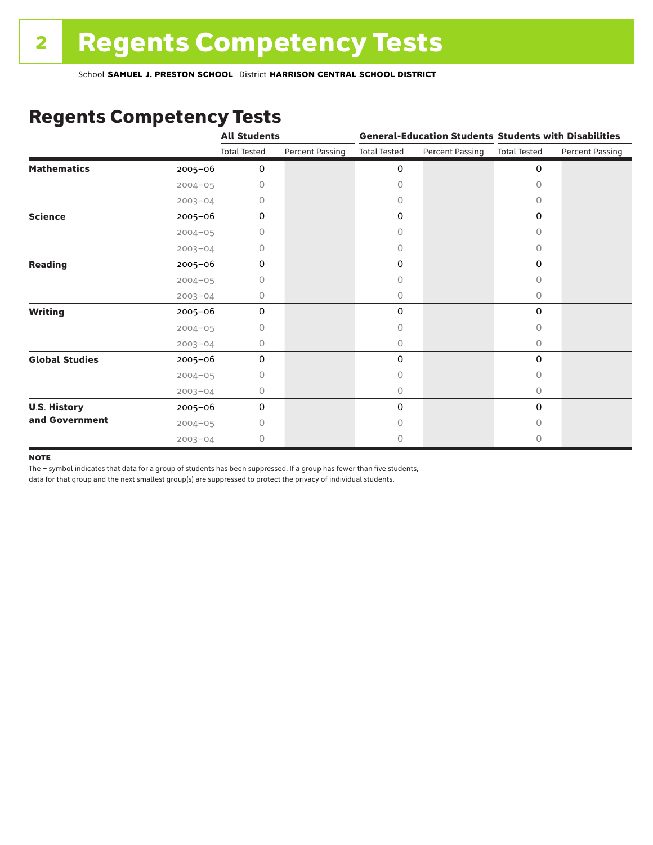## Regents Competency Tests

|                       |             | <b>All Students</b> |                        |                     |                        | <b>General-Education Students Students with Disabilities</b> |                        |  |
|-----------------------|-------------|---------------------|------------------------|---------------------|------------------------|--------------------------------------------------------------|------------------------|--|
|                       |             | <b>Total Tested</b> | <b>Percent Passing</b> | <b>Total Tested</b> | <b>Percent Passing</b> | <b>Total Tested</b>                                          | <b>Percent Passing</b> |  |
| <b>Mathematics</b>    | 2005-06     | 0                   |                        | 0                   |                        | $\mathbf 0$                                                  |                        |  |
|                       | $2004 - 05$ | 0                   |                        | 0                   |                        | $\bigcap$                                                    |                        |  |
|                       | $2003 - 04$ | 0                   |                        | 0                   |                        | 0                                                            |                        |  |
| <b>Science</b>        | 2005-06     | 0                   |                        | 0                   |                        | $\mathbf 0$                                                  |                        |  |
|                       | $2004 - 05$ | 0                   |                        | 0                   |                        | 0                                                            |                        |  |
|                       | $2003 - 04$ | 0                   |                        | 0                   |                        | 0                                                            |                        |  |
| <b>Reading</b>        | $2005 - 06$ | 0                   |                        | 0                   |                        | 0                                                            |                        |  |
|                       | $2004 - 05$ | 0                   |                        | 0                   |                        | 0                                                            |                        |  |
|                       | $2003 - 04$ | 0                   |                        | 0                   |                        | 0                                                            |                        |  |
| <b>Writing</b>        | 2005-06     | 0                   |                        | 0                   |                        | 0                                                            |                        |  |
|                       | $2004 - 05$ | 0                   |                        | 0                   |                        | $\Omega$                                                     |                        |  |
|                       | $2003 - 04$ | 0                   |                        | 0                   |                        | $\circ$                                                      |                        |  |
| <b>Global Studies</b> | 2005-06     | 0                   |                        | 0                   |                        | 0                                                            |                        |  |
|                       | $2004 - 05$ | 0                   |                        | 0                   |                        | 0                                                            |                        |  |
|                       | $2003 - 04$ | 0                   |                        | 0                   |                        | $\circ$                                                      |                        |  |
| <b>U.S. History</b>   | 2005-06     | 0                   |                        | 0                   |                        | 0                                                            |                        |  |
| and Government        | $2004 - 05$ | Ω                   |                        | $\cap$              |                        | 0                                                            |                        |  |
|                       | $2003 - 04$ | 0                   |                        | 0                   |                        | $\circ$                                                      |                        |  |

#### **NOTE**

The – symbol indicates that data for a group of students has been suppressed. If a group has fewer than five students,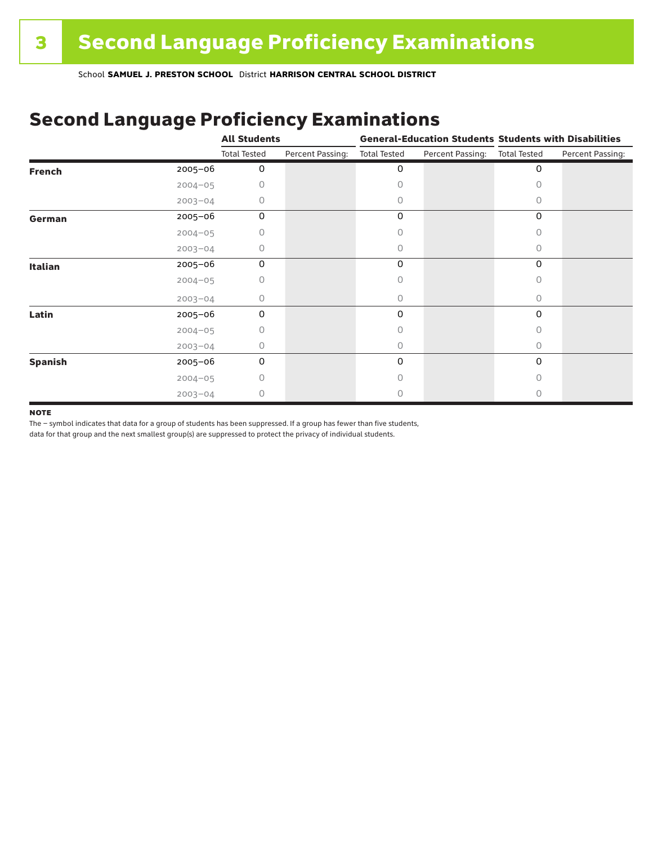# Second Language Proficiency Examinations

|                |             | <b>All Students</b> |                  | <b>General-Education Students Students with Disabilities</b> |                  |                     |                  |
|----------------|-------------|---------------------|------------------|--------------------------------------------------------------|------------------|---------------------|------------------|
|                |             | <b>Total Tested</b> | Percent Passing: | <b>Total Tested</b>                                          | Percent Passing: | <b>Total Tested</b> | Percent Passing: |
| <b>French</b>  | $2005 - 06$ | 0                   |                  | 0                                                            |                  | 0                   |                  |
|                | $2004 - 05$ | U                   |                  | Ω                                                            |                  |                     |                  |
|                | $2003 - 04$ | 0                   |                  | 0                                                            |                  | 0                   |                  |
| German         | 2005-06     | 0                   |                  | 0                                                            |                  | 0                   |                  |
|                | $2004 - 05$ | 0                   |                  | Ω                                                            |                  | 0                   |                  |
|                | $2003 - 04$ | 0                   |                  | 0                                                            |                  | 0                   |                  |
| <b>Italian</b> | 2005-06     | 0                   |                  | 0                                                            |                  | 0                   |                  |
|                | $2004 - 05$ | 0                   |                  |                                                              |                  |                     |                  |
|                | $2003 - 04$ | 0                   |                  | 0                                                            |                  | 0                   |                  |
| Latin          | 2005-06     | 0                   |                  | 0                                                            |                  | 0                   |                  |
|                | $2004 - 05$ | 0                   |                  |                                                              |                  |                     |                  |
|                | $2003 - 04$ | 0                   |                  | 0                                                            |                  | 0                   |                  |
| <b>Spanish</b> | 2005-06     | 0                   |                  | 0                                                            |                  | 0                   |                  |
|                | $2004 - 05$ | 0                   |                  | 0                                                            |                  | Ω                   |                  |
|                | $2003 - 04$ | 0                   |                  |                                                              |                  |                     |                  |

#### **NOTE**

The – symbol indicates that data for a group of students has been suppressed. If a group has fewer than five students,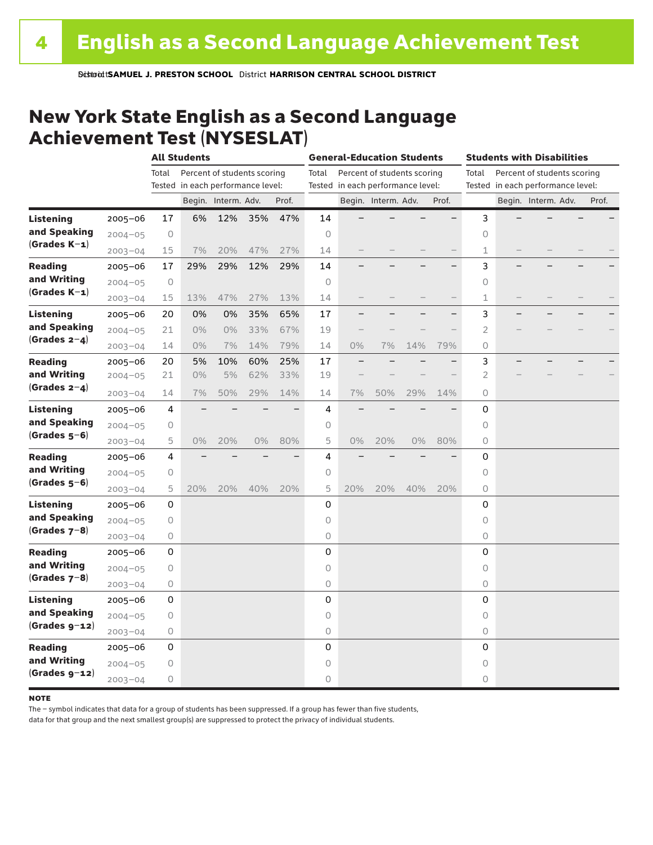### New York State English as a Second Language Achievement Test (NYSESLAT)

|                  |             |                | <b>All Students</b>               |                             |     |       | <b>General-Education Students</b><br><b>Students with Disabilities</b> |                                   |                             |     |       |             |  |                                   |       |
|------------------|-------------|----------------|-----------------------------------|-----------------------------|-----|-------|------------------------------------------------------------------------|-----------------------------------|-----------------------------|-----|-------|-------------|--|-----------------------------------|-------|
|                  |             | Total          |                                   | Percent of students scoring |     |       | Total                                                                  |                                   | Percent of students scoring |     |       | Total       |  | Percent of students scoring       |       |
|                  |             |                | Tested in each performance level: |                             |     |       |                                                                        | Tested in each performance level: |                             |     |       |             |  | Tested in each performance level: |       |
|                  |             |                |                                   | Begin. Interm. Adv.         |     | Prof. |                                                                        |                                   | Begin. Interm. Adv.         |     | Prof. |             |  | Begin. Interm. Adv.               | Prof. |
| <b>Listening</b> | $2005 - 06$ | 17             | 6%                                | 12%                         | 35% | 47%   | 14                                                                     |                                   |                             |     |       | 3           |  |                                   |       |
| and Speaking     | $2004 - 05$ | $\circ$        |                                   |                             |     |       | $\Omega$                                                               |                                   |                             |     |       | $\circ$     |  |                                   |       |
| $(Grades K-1)$   | $2003 - 04$ | 15             | 7%                                | 20%                         | 47% | 27%   | 14                                                                     |                                   |                             |     |       | 1           |  |                                   |       |
| <b>Reading</b>   | $2005 - 06$ | 17             | 29%                               | 29%                         | 12% | 29%   | 14                                                                     |                                   |                             |     |       | 3           |  |                                   |       |
| and Writing      | $2004 - 05$ | $\circ$        |                                   |                             |     |       | $\circ$                                                                |                                   |                             |     |       | $\circ$     |  |                                   |       |
| $(Grades K-1)$   | $2003 - 04$ | 15             | 13%                               | 47%                         | 27% | 13%   | 14                                                                     |                                   |                             |     |       | 1           |  |                                   |       |
| Listening        | $2005 - 06$ | 20             | 0%                                | 0%                          | 35% | 65%   | 17                                                                     |                                   |                             |     |       | 3           |  |                                   |       |
| and Speaking     | $2004 - 05$ | 21             | 0%                                | 0%                          | 33% | 67%   | 19                                                                     |                                   |                             |     |       | 2           |  |                                   |       |
| $(Grades 2-4)$   | $2003 - 04$ | 14             | $0\%$                             | 7%                          | 14% | 79%   | 14                                                                     | 0%                                | 7%                          | 14% | 79%   | 0           |  |                                   |       |
| <b>Reading</b>   | $2005 - 06$ | 20             | 5%                                | 10%                         | 60% | 25%   | 17                                                                     |                                   |                             |     |       | 3           |  |                                   |       |
| and Writing      | $2004 - 05$ | 21             | $0\%$                             | 5%                          | 62% | 33%   | 19                                                                     |                                   |                             |     |       | 2           |  |                                   |       |
| $(Grades 2-4)$   | $2003 - 04$ | 14             | 7%                                | 50%                         | 29% | 14%   | 14                                                                     | 7%                                | 50%                         | 29% | 14%   | 0           |  |                                   |       |
| <b>Listening</b> | $2005 - 06$ | 4              |                                   |                             |     |       | 4                                                                      |                                   |                             |     |       | 0           |  |                                   |       |
| and Speaking     | $2004 - 05$ | 0              |                                   |                             |     |       | 0                                                                      |                                   |                             |     |       | 0           |  |                                   |       |
| $(Grades 5-6)$   | $2003 - 04$ | 5              | $0\%$                             | 20%                         | 0%  | 80%   | 5                                                                      | 0%                                | 20%                         | 0%  | 80%   | 0           |  |                                   |       |
| Reading          | $2005 - 06$ | $\overline{4}$ |                                   |                             |     |       | $\overline{4}$                                                         |                                   |                             |     |       | $\Omega$    |  |                                   |       |
| and Writing      | $2004 - 05$ | 0              |                                   |                             |     |       | 0                                                                      |                                   |                             |     |       | $\circ$     |  |                                   |       |
| $(Grades 5-6)$   | $2003 - 04$ | 5              | 20%                               | 20%                         | 40% | 20%   | 5                                                                      | 20%                               | 20%                         | 40% | 20%   | 0           |  |                                   |       |
| <b>Listening</b> | 2005-06     | 0              |                                   |                             |     |       | 0                                                                      |                                   |                             |     |       | 0           |  |                                   |       |
| and Speaking     | $2004 - 05$ | 0              |                                   |                             |     |       | $\circ$                                                                |                                   |                             |     |       | $\circ$     |  |                                   |       |
| $(Grades 7-8)$   | $2003 - 04$ | 0              |                                   |                             |     |       | 0                                                                      |                                   |                             |     |       | 0           |  |                                   |       |
| <b>Reading</b>   | $2005 - 06$ | 0              |                                   |                             |     |       | 0                                                                      |                                   |                             |     |       | 0           |  |                                   |       |
| and Writing      | $2004 - 05$ | $\mathsf O$    |                                   |                             |     |       | $\circ$                                                                |                                   |                             |     |       | 0           |  |                                   |       |
| $(Grades 7-8)$   | $2003 - 04$ | $\bigcirc$     |                                   |                             |     |       | $\mathsf O$                                                            |                                   |                             |     |       | 0           |  |                                   |       |
| <b>Listening</b> | $2005 - 06$ | 0              |                                   |                             |     |       | $\mathsf 0$                                                            |                                   |                             |     |       | $\mathsf 0$ |  |                                   |       |
| and Speaking     | $2004 - 05$ | 0              |                                   |                             |     |       | 0                                                                      |                                   |                             |     |       | 0           |  |                                   |       |
| $(Grades g-12)$  | $2003 - 04$ | 0              |                                   |                             |     |       | $\mathsf O$                                                            |                                   |                             |     |       | 0           |  |                                   |       |
| <b>Reading</b>   | $2005 - 06$ | 0              |                                   |                             |     |       | 0                                                                      |                                   |                             |     |       | $\mathbf 0$ |  |                                   |       |
| and Writing      | $2004 - 05$ | 0              |                                   |                             |     |       | $\circ$                                                                |                                   |                             |     |       | $\circ$     |  |                                   |       |
| $(Grades g-12)$  | $2003 - 04$ | 0              |                                   |                             |     |       | $\circ$                                                                |                                   |                             |     |       | 0           |  |                                   |       |

#### **NOTE**

The – symbol indicates that data for a group of students has been suppressed. If a group has fewer than five students,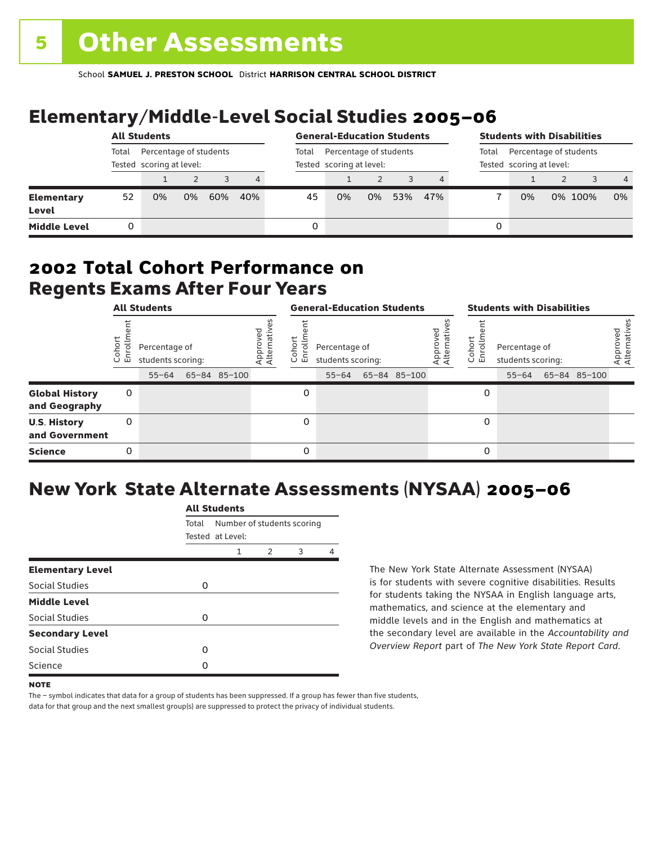# Elementary/Middle-Level Social Studies 2005–06

|                                   | <b>All Students</b>                                         |    |    |       |                                                    | <b>General-Education Students</b> |    |    |                                                             | <b>Students with Disabilities</b> |   |    |  |         |                |
|-----------------------------------|-------------------------------------------------------------|----|----|-------|----------------------------------------------------|-----------------------------------|----|----|-------------------------------------------------------------|-----------------------------------|---|----|--|---------|----------------|
|                                   | Percentage of students<br>Total<br>Tested scoring at level: |    |    | Total | Percentage of students<br>Tested scoring at level: |                                   |    |    | Percentage of students<br>Total<br>Tested scoring at level: |                                   |   |    |  |         |                |
|                                   |                                                             |    |    | 3     | 4                                                  |                                   |    |    |                                                             |                                   |   |    |  |         | $\overline{4}$ |
| <b>Elementary</b><br><b>Level</b> | 52                                                          | 0% | 0% | 60%   | 40%                                                | 45                                | 0% | 0% | 53%                                                         | 47%                               |   | 0% |  | 0% 100% | 0%             |
| <b>Middle Level</b>               | 0                                                           |    |    |       |                                                    | 0                                 |    |    |                                                             |                                   | 0 |    |  |         |                |

### Regents Exams After Four Years 2002 **Total Cohort Performance on**

|                                        | <b>All Students</b> |                                                 |  |              |                               | <b>General-Education Students</b> |                                                 |  |              |                        | <b>Students with Disabilities</b> |                                                 |  |              |                          |
|----------------------------------------|---------------------|-------------------------------------------------|--|--------------|-------------------------------|-----------------------------------|-------------------------------------------------|--|--------------|------------------------|-----------------------------------|-------------------------------------------------|--|--------------|--------------------------|
|                                        | ohoi<br>ō<br>٠ī     | Percentage of<br>students scoring:<br>$55 - 64$ |  | 65-84 85-100 | yed<br>Approveo<br>Alternativ | ohort<br>ō<br>屲<br>$\cup$         | Percentage of<br>students scoring:<br>$55 - 64$ |  | 65-84 85-100 | ρg<br>Appro<br>Alterna | Cohort<br>9<br>문                  | Percentage of<br>students scoring:<br>$55 - 64$ |  | 65-84 85-100 | Approved<br>Alternatives |
| <b>Global History</b><br>and Geography | 0                   |                                                 |  |              |                               | O                                 |                                                 |  |              |                        | 0                                 |                                                 |  |              |                          |
| <b>U.S. History</b><br>and Government  | 0                   |                                                 |  |              |                               | 0                                 |                                                 |  |              |                        | 0                                 |                                                 |  |              |                          |
| <b>Science</b>                         | 0                   |                                                 |  |              |                               | 0                                 |                                                 |  |              |                        | 0                                 |                                                 |  |              |                          |

# New York State Alternate Assessments (NYSAA) 2005–06

|                         |       | <b>All Students</b>                            |   |   |   |  |  |  |  |  |
|-------------------------|-------|------------------------------------------------|---|---|---|--|--|--|--|--|
|                         | Total | Number of students scoring<br>Tested at Level: |   |   |   |  |  |  |  |  |
|                         |       |                                                |   |   |   |  |  |  |  |  |
|                         |       | 1                                              | 2 | 3 | 4 |  |  |  |  |  |
| <b>Elementary Level</b> |       |                                                |   |   |   |  |  |  |  |  |
| Social Studies          | O     |                                                |   |   |   |  |  |  |  |  |
| <b>Middle Level</b>     |       |                                                |   |   |   |  |  |  |  |  |
| Social Studies          | O     |                                                |   |   |   |  |  |  |  |  |
| <b>Secondary Level</b>  |       |                                                |   |   |   |  |  |  |  |  |
| Social Studies          | ი     |                                                |   |   |   |  |  |  |  |  |
| Science                 | n     |                                                |   |   |   |  |  |  |  |  |
|                         |       |                                                |   |   |   |  |  |  |  |  |

The New York State Alternate Assessment (NYSAA) is for students with severe cognitive disabilities. Results for students taking the NYSAA in English language arts, mathematics, and science at the elementary and middle levels and in the English and mathematics at the secondary level are available in the *Accountability and Overview Report* part of *The New York State Report Card*.

The – symbol indicates that data for a group of students has been suppressed. If a group has fewer than five students, data for that group and the next smallest group(s) are suppressed to protect the privacy of individual students.

**NOTE**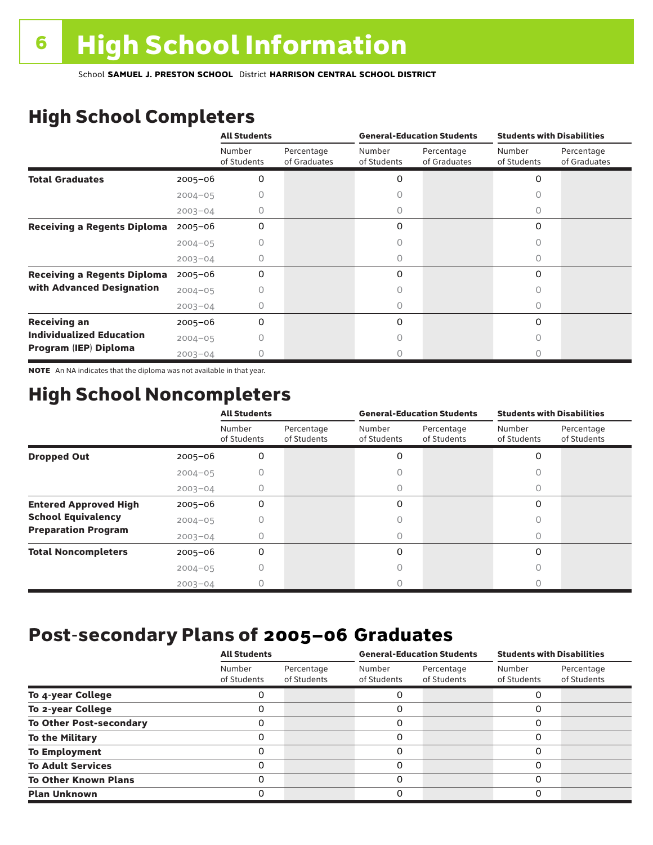# High School Completers

|                                    |             | <b>All Students</b>   |                            |                       | <b>General-Education Students</b> | <b>Students with Disabilities</b> |                            |  |
|------------------------------------|-------------|-----------------------|----------------------------|-----------------------|-----------------------------------|-----------------------------------|----------------------------|--|
|                                    |             | Number<br>of Students | Percentage<br>of Graduates | Number<br>of Students | Percentage<br>of Graduates        | Number<br>of Students             | Percentage<br>of Graduates |  |
| <b>Total Graduates</b>             | $2005 - 06$ | 0                     |                            | 0                     |                                   | 0                                 |                            |  |
|                                    | $2004 - 05$ |                       |                            |                       |                                   |                                   |                            |  |
|                                    | $2003 - 04$ | 0                     |                            | 0                     |                                   | 0                                 |                            |  |
| <b>Receiving a Regents Diploma</b> | $2005 - 06$ | 0                     |                            | 0                     |                                   | 0                                 |                            |  |
|                                    | $2004 - 05$ |                       |                            |                       |                                   | n                                 |                            |  |
|                                    | $2003 - 04$ | O                     |                            | O                     |                                   | Ω                                 |                            |  |
| <b>Receiving a Regents Diploma</b> | $2005 - 06$ | 0                     |                            | 0                     |                                   | $\Omega$                          |                            |  |
| with Advanced Designation          | $2004 - 05$ |                       |                            |                       |                                   |                                   |                            |  |
|                                    | $2003 - 04$ |                       |                            |                       |                                   | U                                 |                            |  |
| <b>Receiving an</b>                | $2005 - 06$ | 0                     |                            | 0                     |                                   | $\Omega$                          |                            |  |
| <b>Individualized Education</b>    | $2004 - 05$ |                       |                            |                       |                                   |                                   |                            |  |
| Program (IEP) Diploma              | $2003 - 04$ |                       |                            |                       |                                   |                                   |                            |  |

NOTE An NA indicates that the diploma was not available in that year.

## High School Noncompleters

|                              |             | <b>All Students</b>   |                           |                       | <b>General-Education Students</b> | <b>Students with Disabilities</b> |                           |  |
|------------------------------|-------------|-----------------------|---------------------------|-----------------------|-----------------------------------|-----------------------------------|---------------------------|--|
|                              |             | Number<br>of Students | Percentage<br>of Students | Number<br>of Students | Percentage<br>of Students         | Number<br>of Students             | Percentage<br>of Students |  |
| <b>Dropped Out</b>           | $2005 - 06$ | 0                     |                           | 0                     |                                   | $\Omega$                          |                           |  |
|                              | $2004 - 05$ |                       |                           |                       |                                   |                                   |                           |  |
|                              | $2003 - 04$ |                       |                           |                       |                                   |                                   |                           |  |
| <b>Entered Approved High</b> | $2005 - 06$ | 0                     |                           | 0                     |                                   | $\Omega$                          |                           |  |
| <b>School Equivalency</b>    | $2004 - 05$ |                       |                           | U                     |                                   | Ω                                 |                           |  |
| <b>Preparation Program</b>   | $2003 - 04$ | Ω                     |                           | 0                     |                                   | 0                                 |                           |  |
| <b>Total Noncompleters</b>   | $2005 - 06$ | 0                     |                           | 0                     |                                   | $\Omega$                          |                           |  |
|                              | $2004 - 05$ | Ω                     |                           | Ω                     |                                   | 0                                 |                           |  |
|                              | $2003 - 04$ |                       |                           |                       |                                   |                                   |                           |  |

## Post-secondary Plans of 2005–06 **Graduates**

|                                | <b>All Students</b>   |                           |                       | <b>General-Education Students</b> | <b>Students with Disabilities</b> |                           |  |
|--------------------------------|-----------------------|---------------------------|-----------------------|-----------------------------------|-----------------------------------|---------------------------|--|
|                                | Number<br>of Students | Percentage<br>of Students | Number<br>of Students | Percentage<br>of Students         | Number<br>of Students             | Percentage<br>of Students |  |
| To 4-year College              |                       |                           |                       |                                   |                                   |                           |  |
| To 2-year College              |                       |                           | 0                     |                                   | 0                                 |                           |  |
| <b>To Other Post-secondary</b> |                       |                           | ი                     |                                   | 0                                 |                           |  |
| <b>To the Military</b>         |                       |                           | ი                     |                                   | 0                                 |                           |  |
| <b>To Employment</b>           |                       |                           | 0                     |                                   | 0                                 |                           |  |
| <b>To Adult Services</b>       |                       |                           |                       |                                   | O                                 |                           |  |
| <b>To Other Known Plans</b>    |                       |                           | 0                     |                                   | 0                                 |                           |  |
| <b>Plan Unknown</b>            |                       |                           |                       |                                   | 0                                 |                           |  |